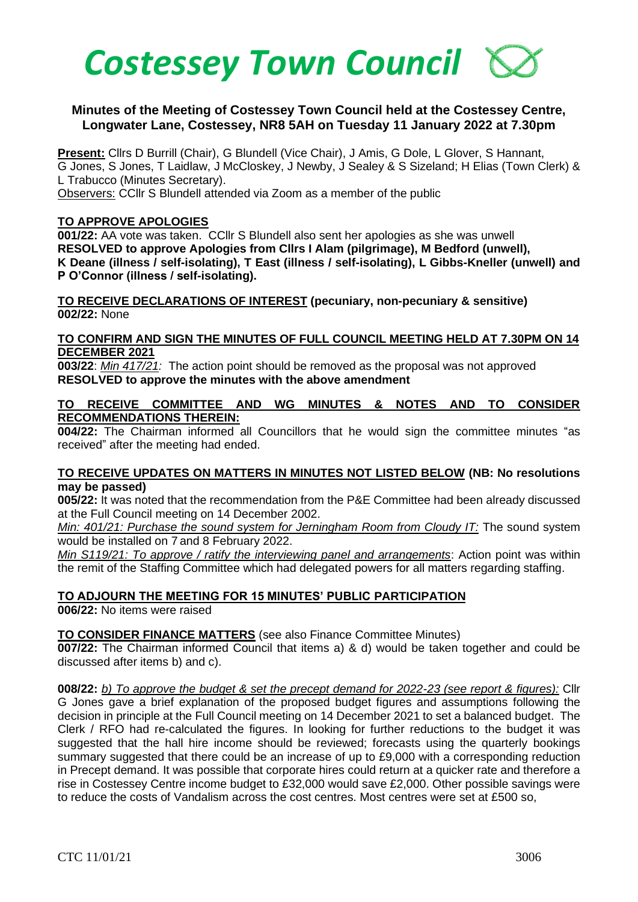

## **Minutes of the Meeting of Costessey Town Council held at the Costessey Centre, Longwater Lane, Costessey, NR8 5AH on Tuesday 11 January 2022 at 7.30pm**

**Present:** Cllrs D Burrill (Chair), G Blundell (Vice Chair), J Amis, G Dole, L Glover, S Hannant, G Jones, S Jones, T Laidlaw, J McCloskey, J Newby, J Sealey & S Sizeland; H Elias (Town Clerk) & L Trabucco (Minutes Secretary).

Observers: CCllr S Blundell attended via Zoom as a member of the public

#### **TO APPROVE APOLOGIES**

**001/22:** AA vote was taken. CCllr S Blundell also sent her apologies as she was unwell **RESOLVED to approve Apologies from Cllrs I Alam (pilgrimage), M Bedford (unwell), K Deane (illness / self-isolating), T East (illness / self-isolating), L Gibbs-Kneller (unwell) and P O'Connor (illness / self-isolating).**

**TO RECEIVE DECLARATIONS OF INTEREST (pecuniary, non-pecuniary & sensitive) 002/22:** None

#### **TO CONFIRM AND SIGN THE MINUTES OF FULL COUNCIL MEETING HELD AT 7.30PM ON 14 DECEMBER 2021**

**003/22**: *Min 417/21:* The action point should be removed as the proposal was not approved **RESOLVED to approve the minutes with the above amendment**

#### **TO RECEIVE COMMITTEE AND WG MINUTES & NOTES AND TO CONSIDER RECOMMENDATIONS THEREIN:**

**004/22:** The Chairman informed all Councillors that he would sign the committee minutes "as received" after the meeting had ended.

#### **TO RECEIVE UPDATES ON MATTERS IN MINUTES NOT LISTED BELOW (NB: No resolutions may be passed)**

**005/22:** It was noted that the recommendation from the P&E Committee had been already discussed at the Full Council meeting on 14 December 2002.

*Min: 401/21: Purchase the sound system for Jerningham Room from Cloudy IT:* The sound system would be installed on 7 and 8 February 2022.

*Min S119/21: To approve / ratify the interviewing panel and arrangements*: Action point was within the remit of the Staffing Committee which had delegated powers for all matters regarding staffing.

**TO ADJOURN THE MEETING FOR 15 MINUTES' PUBLIC PARTICIPATION**

**006/22:** No items were raised

## **TO CONSIDER FINANCE MATTERS** (see also Finance Committee Minutes)

**007/22:** The Chairman informed Council that items a) & d) would be taken together and could be discussed after items b) and c).

**008/22:** *b) To approve the budget & set the precept demand for 2022-23 (see report & figures):* Cllr G Jones gave a brief explanation of the proposed budget figures and assumptions following the decision in principle at the Full Council meeting on 14 December 2021 to set a balanced budget. The Clerk / RFO had re-calculated the figures. In looking for further reductions to the budget it was suggested that the hall hire income should be reviewed; forecasts using the quarterly bookings summary suggested that there could be an increase of up to £9,000 with a corresponding reduction in Precept demand. It was possible that corporate hires could return at a quicker rate and therefore a rise in Costessey Centre income budget to £32,000 would save £2,000. Other possible savings were to reduce the costs of Vandalism across the cost centres. Most centres were set at £500 so,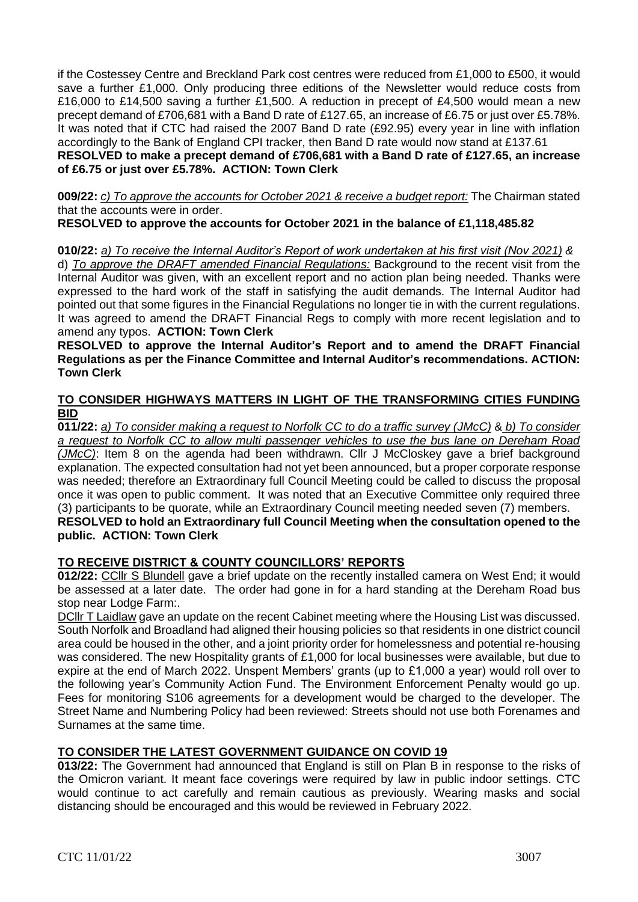if the Costessey Centre and Breckland Park cost centres were reduced from £1,000 to £500, it would save a further £1,000. Only producing three editions of the Newsletter would reduce costs from £16,000 to £14,500 saving a further £1,500. A reduction in precept of £4,500 would mean a new precept demand of £706,681 with a Band D rate of £127.65, an increase of £6.75 or just over £5.78%. It was noted that if CTC had raised the 2007 Band D rate (£92.95) every year in line with inflation accordingly to the Bank of England CPI tracker, then Band D rate would now stand at £137.61 **RESOLVED to make a precept demand of £706,681 with a Band D rate of £127.65, an increase of £6.75 or just over £5.78%. ACTION: Town Clerk**

**009/22:** *c) To approve the accounts for October 2021 & receive a budget report:* The Chairman stated that the accounts were in order.

## **RESOLVED to approve the accounts for October 2021 in the balance of £1,118,485.82**

## **010/22:** *a) To receive the Internal Auditor's Report of work undertaken at his first visit (Nov 2021) &*

d) *To approve the DRAFT amended Financial Regulations:* Background to the recent visit from the Internal Auditor was given, with an excellent report and no action plan being needed. Thanks were expressed to the hard work of the staff in satisfying the audit demands. The Internal Auditor had pointed out that some figures in the Financial Regulations no longer tie in with the current regulations. It was agreed to amend the DRAFT Financial Regs to comply with more recent legislation and to amend any typos. **ACTION: Town Clerk**

**RESOLVED to approve the Internal Auditor's Report and to amend the DRAFT Financial Regulations as per the Finance Committee and Internal Auditor's recommendations. ACTION: Town Clerk**

## **TO CONSIDER HIGHWAYS MATTERS IN LIGHT OF THE TRANSFORMING CITIES FUNDING BID**

**011/22:** *a) To consider making a request to Norfolk CC to do a traffic survey (JMcC)* & *b) To consider a request to Norfolk CC to allow multi passenger vehicles to use the bus lane on Dereham Road (JMcC)*: Item 8 on the agenda had been withdrawn. Cllr J McCloskey gave a brief background explanation. The expected consultation had not yet been announced, but a proper corporate response was needed; therefore an Extraordinary full Council Meeting could be called to discuss the proposal once it was open to public comment. It was noted that an Executive Committee only required three (3) participants to be quorate, while an Extraordinary Council meeting needed seven (7) members. **RESOLVED to hold an Extraordinary full Council Meeting when the consultation opened to the** 

## **public. ACTION: Town Clerk**

# **TO RECEIVE DISTRICT & COUNTY COUNCILLORS' REPORTS**

**012/22:** CCllr S Blundell gave a brief update on the recently installed camera on West End; it would be assessed at a later date. The order had gone in for a hard standing at the Dereham Road bus stop near Lodge Farm:.

DCllr T Laidlaw gave an update on the recent Cabinet meeting where the Housing List was discussed. South Norfolk and Broadland had aligned their housing policies so that residents in one district council area could be housed in the other, and a joint priority order for homelessness and potential re-housing was considered. The new Hospitality grants of £1,000 for local businesses were available, but due to expire at the end of March 2022. Unspent Members' grants (up to £1,000 a year) would roll over to the following year's Community Action Fund. The Environment Enforcement Penalty would go up. Fees for monitoring S106 agreements for a development would be charged to the developer. The Street Name and Numbering Policy had been reviewed: Streets should not use both Forenames and Surnames at the same time.

# **TO CONSIDER THE LATEST GOVERNMENT GUIDANCE ON COVID 19**

**013/22:** The Government had announced that England is still on Plan B in response to the risks of the Omicron variant. It meant face coverings were required by law in public indoor settings. CTC would continue to act carefully and remain cautious as previously. Wearing masks and social distancing should be encouraged and this would be reviewed in February 2022.